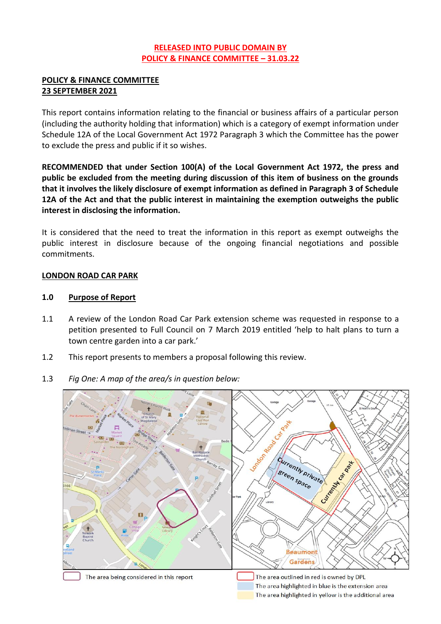## **RELEASED INTO PUBLIC DOMAIN BY POLICY & FINANCE COMMITTEE – 31.03.22**

## **POLICY & FINANCE COMMITTEE 23 SEPTEMBER 2021**

This report contains information relating to the financial or business affairs of a particular person (including the authority holding that information) which is a category of exempt information under Schedule 12A of the Local Government Act 1972 Paragraph 3 which the Committee has the power to exclude the press and public if it so wishes.

**RECOMMENDED that under Section 100(A) of the Local Government Act 1972, the press and public be excluded from the meeting during discussion of this item of business on the grounds that it involves the likely disclosure of exempt information as defined in Paragraph 3 of Schedule 12A of the Act and that the public interest in maintaining the exemption outweighs the public interest in disclosing the information.**

It is considered that the need to treat the information in this report as exempt outweighs the public interest in disclosure because of the ongoing financial negotiations and possible commitments.

## **LONDON ROAD CAR PARK**

#### **1.0 Purpose of Report**

- 1.1 A review of the London Road Car Park extension scheme was requested in response to a petition presented to Full Council on 7 March 2019 entitled 'help to halt plans to turn a town centre garden into a car park.'
- 1.2 This report presents to members a proposal following this review.
- 1.3 *Fig One: A map of the area/s in question below:*



The area highlighted in yellow is the additional area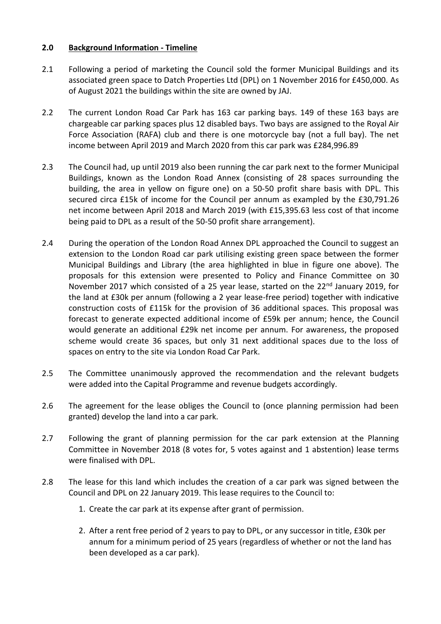#### **2.0 Background Information - Timeline**

- 2.1 Following a period of marketing the Council sold the former Municipal Buildings and its associated green space to Datch Properties Ltd (DPL) on 1 November 2016 for £450,000. As of August 2021 the buildings within the site are owned by JAJ.
- 2.2 The current London Road Car Park has 163 car parking bays. 149 of these 163 bays are chargeable car parking spaces plus 12 disabled bays. Two bays are assigned to the Royal Air Force Association (RAFA) club and there is one motorcycle bay (not a full bay). The net income between April 2019 and March 2020 from this car park was £284,996.89
- 2.3 The Council had, up until 2019 also been running the car park next to the former Municipal Buildings, known as the London Road Annex (consisting of 28 spaces surrounding the building, the area in yellow on figure one) on a 50-50 profit share basis with DPL. This secured circa £15k of income for the Council per annum as exampled by the £30,791.26 net income between April 2018 and March 2019 (with £15,395.63 less cost of that income being paid to DPL as a result of the 50-50 profit share arrangement).
- 2.4 During the operation of the London Road Annex DPL approached the Council to suggest an extension to the London Road car park utilising existing green space between the former Municipal Buildings and Library (the area highlighted in blue in figure one above). The proposals for this extension were presented to Policy and Finance Committee on 30 November 2017 which consisted of a 25 year lease, started on the 22<sup>nd</sup> January 2019, for the land at £30k per annum (following a 2 year lease-free period) together with indicative construction costs of £115k for the provision of 36 additional spaces. This proposal was forecast to generate expected additional income of £59k per annum; hence, the Council would generate an additional £29k net income per annum. For awareness, the proposed scheme would create 36 spaces, but only 31 next additional spaces due to the loss of spaces on entry to the site via London Road Car Park.
- 2.5 The Committee unanimously approved the recommendation and the relevant budgets were added into the Capital Programme and revenue budgets accordingly.
- 2.6 The agreement for the lease obliges the Council to (once planning permission had been granted) develop the land into a car park.
- 2.7 Following the grant of planning permission for the car park extension at the Planning Committee in November 2018 (8 votes for, 5 votes against and 1 abstention) lease terms were finalised with DPL.
- 2.8 The lease for this land which includes the creation of a car park was signed between the Council and DPL on 22 January 2019. This lease requires to the Council to:
	- 1. Create the car park at its expense after grant of permission.
	- 2. After a rent free period of 2 years to pay to DPL, or any successor in title, £30k per annum for a minimum period of 25 years (regardless of whether or not the land has been developed as a car park).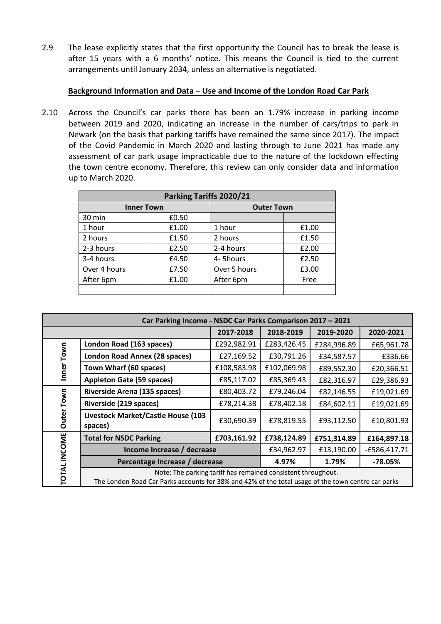2.9 The lease explicitly states that the first opportunity the Council has to break the lease is after 15 years with a 6 months' notice. This means the Council is tied to the current arrangements until January 2034, unless an alternative is negotiated.

## **Background Information and Data – Use and Income of the London Road Car Park**

2.10 Across the Council's car parks there has been an 1.79% increase in parking income between 2019 and 2020, indicating an increase in the number of cars/trips to park in Newark (on the basis that parking tariffs have remained the same since 2017). The impact of the Covid Pandemic in March 2020 and lasting through to June 2021 has made any assessment of car park usage impracticable due to the nature of the lockdown effecting the town centre economy. Therefore, this review can only consider data and information up to March 2020.

| Parking Tariffs 2020/21 |       |                   |       |  |
|-------------------------|-------|-------------------|-------|--|
| <b>Inner Town</b>       |       | <b>Outer Town</b> |       |  |
| 30 min                  | £0.50 |                   |       |  |
| 1 hour                  | £1.00 | 1 hour            | £1.00 |  |
| 2 hours                 | £1.50 | 2 hours           | £1.50 |  |
| 2-3 hours               | £2.50 | 2-4 hours         | £2.00 |  |
| 3-4 hours               | £4.50 | 4-5hours          | £2.50 |  |
| Over 4 hours            | £7.50 | Over 5 hours      | £3.00 |  |
| After 6pm               | £1.00 | After 6pm         | Free  |  |
|                         |       |                   |       |  |

| Car Parking Income - NSDC Car Parks Comparison 2017 - 2021 |                                                                                                                                                                    |             |             |                |             |  |  |
|------------------------------------------------------------|--------------------------------------------------------------------------------------------------------------------------------------------------------------------|-------------|-------------|----------------|-------------|--|--|
|                                                            |                                                                                                                                                                    | 2017-2018   | 2018-2019   | 2019-2020      | 2020-2021   |  |  |
| Inner Town                                                 | London Road (163 spaces)                                                                                                                                           | £292,982.91 | £283,426.45 | £284,996.89    | £65,961.78  |  |  |
|                                                            | London Road Annex (28 spaces)                                                                                                                                      | £27,169.52  | £30,791.26  | £34,587.57     | £336.66     |  |  |
|                                                            | Town Wharf (60 spaces)                                                                                                                                             | £108,583.98 | £102,069.98 | £89,552.30     | £20,366.51  |  |  |
|                                                            | <b>Appleton Gate (59 spaces)</b>                                                                                                                                   | £85,117.02  | £85,369.43  | £82,316.97     | £29,386.93  |  |  |
|                                                            | Riverside Arena (135 spaces)                                                                                                                                       | £80,403.72  | £79,246.04  | £82,146.55     | £19,021.69  |  |  |
| Town                                                       | Riverside (219 spaces)                                                                                                                                             | £78,214.38  | £78,402.18  | £84,602.11     | £19,021.69  |  |  |
| Outer <sup>1</sup>                                         | Livestock Market/Castle House (103<br>spaces)                                                                                                                      | £30,690.39  | £78,819.55  | £93,112.50     | £10,801.93  |  |  |
|                                                            | <b>Total for NSDC Parking</b>                                                                                                                                      | £703,161.92 | £738,124.89 | £751,314.89    | £164,897.18 |  |  |
|                                                            | Income Increase / decrease                                                                                                                                         | £34,962.97  | £13,190.00  | $-£586,417.71$ |             |  |  |
|                                                            | Percentage Increase / decrease                                                                                                                                     | 4.97%       | 1.79%       | $-78.05%$      |             |  |  |
| TOTAL INCOME                                               | Note: The parking tariff has remained consistent throughout.<br>The London Road Car Parks accounts for 38% and 42% of the total usage of the town centre car parks |             |             |                |             |  |  |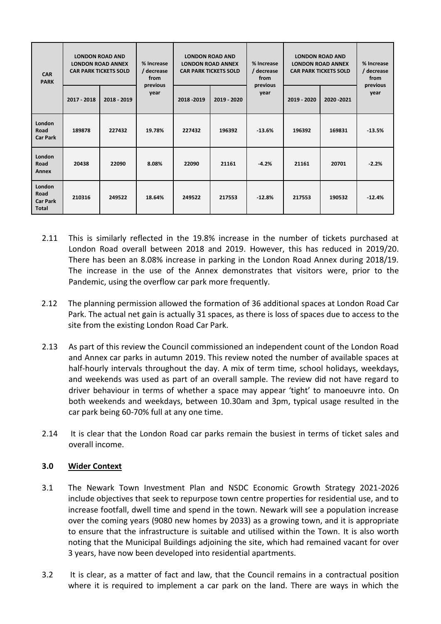| <b>CAR</b><br><b>PARK</b>                         | <b>LONDON ROAD AND</b><br><b>LONDON ROAD ANNEX</b><br><b>CAR PARK TICKETS SOLD</b> |             | % Increase<br>/ decrease<br>from | <b>LONDON ROAD AND</b><br><b>LONDON ROAD ANNEX</b><br><b>CAR PARK TICKETS SOLD</b> |             | % Increase<br>/ decrease<br>from | <b>LONDON ROAD AND</b><br><b>LONDON ROAD ANNEX</b><br><b>CAR PARK TICKETS SOLD</b> |             | % Increase<br>/ decrease<br>from |
|---------------------------------------------------|------------------------------------------------------------------------------------|-------------|----------------------------------|------------------------------------------------------------------------------------|-------------|----------------------------------|------------------------------------------------------------------------------------|-------------|----------------------------------|
|                                                   | 2017 - 2018                                                                        | 2018 - 2019 | previous<br>year                 | 2018 - 2019                                                                        | 2019 - 2020 | previous<br>year                 | 2019 - 2020                                                                        | 2020 - 2021 | previous<br>year                 |
| London<br>Road<br><b>Car Park</b>                 | 189878                                                                             | 227432      | 19.78%                           | 227432                                                                             | 196392      | $-13.6%$                         | 196392                                                                             | 169831      | $-13.5%$                         |
| London<br>Road<br>Annex                           | 20438                                                                              | 22090       | 8.08%                            | 22090                                                                              | 21161       | $-4.2%$                          | 21161                                                                              | 20701       | $-2.2%$                          |
| London<br>Road<br><b>Car Park</b><br><b>Total</b> | 210316                                                                             | 249522      | 18.64%                           | 249522                                                                             | 217553      | $-12.8%$                         | 217553                                                                             | 190532      | $-12.4%$                         |

- 2.11 This is similarly reflected in the 19.8% increase in the number of tickets purchased at London Road overall between 2018 and 2019. However, this has reduced in 2019/20. There has been an 8.08% increase in parking in the London Road Annex during 2018/19. The increase in the use of the Annex demonstrates that visitors were, prior to the Pandemic, using the overflow car park more frequently.
- 2.12 The planning permission allowed the formation of 36 additional spaces at London Road Car Park. The actual net gain is actually 31 spaces, as there is loss of spaces due to access to the site from the existing London Road Car Park.
- 2.13 As part of this review the Council commissioned an independent count of the London Road and Annex car parks in autumn 2019. This review noted the number of available spaces at half-hourly intervals throughout the day. A mix of term time, school holidays, weekdays, and weekends was used as part of an overall sample. The review did not have regard to driver behaviour in terms of whether a space may appear 'tight' to manoeuvre into. On both weekends and weekdays, between 10.30am and 3pm, typical usage resulted in the car park being 60-70% full at any one time.
- 2.14 It is clear that the London Road car parks remain the busiest in terms of ticket sales and overall income.

# **3.0 Wider Context**

- 3.1 The Newark Town Investment Plan and NSDC Economic Growth Strategy 2021-2026 include objectives that seek to repurpose town centre properties for residential use, and to increase footfall, dwell time and spend in the town. Newark will see a population increase over the coming years (9080 new homes by 2033) as a growing town, and it is appropriate to ensure that the infrastructure is suitable and utilised within the Town. It is also worth noting that the Municipal Buildings adjoining the site, which had remained vacant for over 3 years, have now been developed into residential apartments.
- 3.2 It is clear, as a matter of fact and law, that the Council remains in a contractual position where it is required to implement a car park on the land. There are ways in which the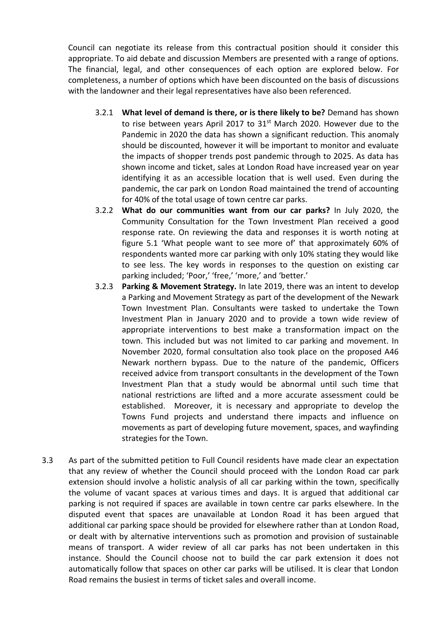Council can negotiate its release from this contractual position should it consider this appropriate. To aid debate and discussion Members are presented with a range of options. The financial, legal, and other consequences of each option are explored below. For completeness, a number of options which have been discounted on the basis of discussions with the landowner and their legal representatives have also been referenced.

- 3.2.1 **What level of demand is there, or is there likely to be?** Demand has shown to rise between years April 2017 to 31<sup>st</sup> March 2020. However due to the Pandemic in 2020 the data has shown a significant reduction. This anomaly should be discounted, however it will be important to monitor and evaluate the impacts of shopper trends post pandemic through to 2025. As data has shown income and ticket, sales at London Road have increased year on year identifying it as an accessible location that is well used. Even during the pandemic, the car park on London Road maintained the trend of accounting for 40% of the total usage of town centre car parks.
- 3.2.2 **What do our communities want from our car parks?** In July 2020, the Community Consultation for the Town Investment Plan received a good response rate. On reviewing the data and responses it is worth noting at figure 5.1 'What people want to see more of' that approximately 60% of respondents wanted more car parking with only 10% stating they would like to see less. The key words in responses to the question on existing car parking included; 'Poor,' 'free,' 'more,' and 'better.'
- 3.2.3 **Parking & Movement Strategy.** In late 2019, there was an intent to develop a Parking and Movement Strategy as part of the development of the Newark Town Investment Plan. Consultants were tasked to undertake the Town Investment Plan in January 2020 and to provide a town wide review of appropriate interventions to best make a transformation impact on the town. This included but was not limited to car parking and movement. In November 2020, formal consultation also took place on the proposed A46 Newark northern bypass. Due to the nature of the pandemic, Officers received advice from transport consultants in the development of the Town Investment Plan that a study would be abnormal until such time that national restrictions are lifted and a more accurate assessment could be established. Moreover, it is necessary and appropriate to develop the Towns Fund projects and understand there impacts and influence on movements as part of developing future movement, spaces, and wayfinding strategies for the Town.
- 3.3 As part of the submitted petition to Full Council residents have made clear an expectation that any review of whether the Council should proceed with the London Road car park extension should involve a holistic analysis of all car parking within the town, specifically the volume of vacant spaces at various times and days. It is argued that additional car parking is not required if spaces are available in town centre car parks elsewhere. In the disputed event that spaces are unavailable at London Road it has been argued that additional car parking space should be provided for elsewhere rather than at London Road, or dealt with by alternative interventions such as promotion and provision of sustainable means of transport. A wider review of all car parks has not been undertaken in this instance. Should the Council choose not to build the car park extension it does not automatically follow that spaces on other car parks will be utilised. It is clear that London Road remains the busiest in terms of ticket sales and overall income.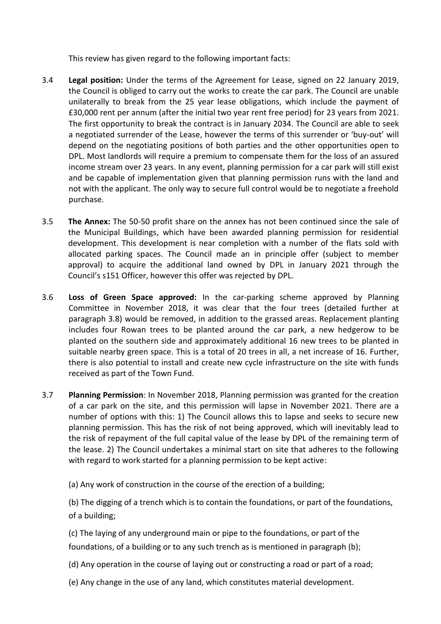This review has given regard to the following important facts:

- 3.4 **Legal position:** Under the terms of the Agreement for Lease, signed on 22 January 2019, the Council is obliged to carry out the works to create the car park. The Council are unable unilaterally to break from the 25 year lease obligations, which include the payment of £30,000 rent per annum (after the initial two year rent free period) for 23 years from 2021. The first opportunity to break the contract is in January 2034. The Council are able to seek a negotiated surrender of the Lease, however the terms of this surrender or 'buy-out' will depend on the negotiating positions of both parties and the other opportunities open to DPL. Most landlords will require a premium to compensate them for the loss of an assured income stream over 23 years. In any event, planning permission for a car park will still exist and be capable of implementation given that planning permission runs with the land and not with the applicant. The only way to secure full control would be to negotiate a freehold purchase.
- 3.5 **The Annex:** The 50-50 profit share on the annex has not been continued since the sale of the Municipal Buildings, which have been awarded planning permission for residential development. This development is near completion with a number of the flats sold with allocated parking spaces. The Council made an in principle offer (subject to member approval) to acquire the additional land owned by DPL in January 2021 through the Council's s151 Officer, however this offer was rejected by DPL.
- 3.6 **Loss of Green Space approved:** In the car-parking scheme approved by Planning Committee in November 2018, it was clear that the four trees (detailed further at paragraph 3.8) would be removed, in addition to the grassed areas. Replacement planting includes four Rowan trees to be planted around the car park, a new hedgerow to be planted on the southern side and approximately additional 16 new trees to be planted in suitable nearby green space. This is a total of 20 trees in all, a net increase of 16. Further, there is also potential to install and create new cycle infrastructure on the site with funds received as part of the Town Fund.
- 3.7 **Planning Permission**: In November 2018, Planning permission was granted for the creation of a car park on the site, and this permission will lapse in November 2021. There are a number of options with this: 1) The Council allows this to lapse and seeks to secure new planning permission. This has the risk of not being approved, which will inevitably lead to the risk of repayment of the full capital value of the lease by DPL of the remaining term of the lease. 2) The Council undertakes a minimal start on site that adheres to the following with regard to work started for a planning permission to be kept active:
	- (a) Any work of construction in the course of the erection of a building;

(b) The digging of a trench which is to contain the foundations, or part of the foundations, of a building;

(c) The laying of any underground main or pipe to the foundations, or part of the foundations, of a building or to any such trench as is mentioned in paragraph (b);

- (d) Any operation in the course of laying out or constructing a road or part of a road;
- (e) Any change in the use of any land, which constitutes material development.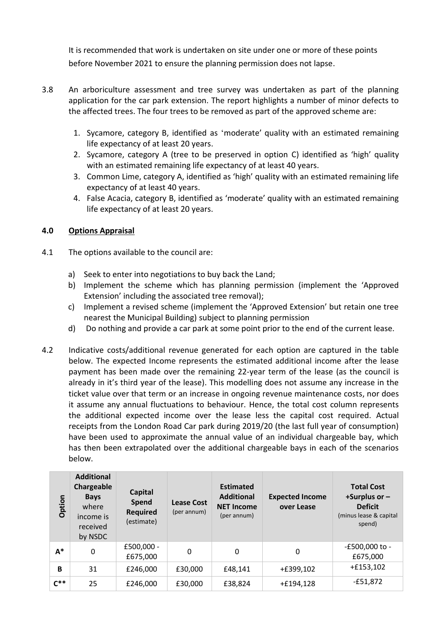It is recommended that work is undertaken on site under one or more of these points before November 2021 to ensure the planning permission does not lapse.

- 3.8 An arboriculture assessment and tree survey was undertaken as part of the planning application for the car park extension. The report highlights a number of minor defects to the affected trees. The four trees to be removed as part of the approved scheme are:
	- 1. Sycamore, category B, identified as 'moderate' quality with an estimated remaining life expectancy of at least 20 years.
	- 2. Sycamore, category A (tree to be preserved in option C) identified as 'high' quality with an estimated remaining life expectancy of at least 40 years.
	- 3. Common Lime, category A, identified as 'high' quality with an estimated remaining life expectancy of at least 40 years.
	- 4. False Acacia, category B, identified as 'moderate' quality with an estimated remaining life expectancy of at least 20 years.

# **4.0 Options Appraisal**

- 4.1 The options available to the council are:
	- a) Seek to enter into negotiations to buy back the Land;
	- b) Implement the scheme which has planning permission (implement the 'Approved Extension' including the associated tree removal);
	- c) Implement a revised scheme (implement the 'Approved Extension' but retain one tree nearest the Municipal Building) subject to planning permission
	- d) Do nothing and provide a car park at some point prior to the end of the current lease.
- 4.2 Indicative costs/additional revenue generated for each option are captured in the table below. The expected Income represents the estimated additional income after the lease payment has been made over the remaining 22-year term of the lease (as the council is already in it's third year of the lease). This modelling does not assume any increase in the ticket value over that term or an increase in ongoing revenue maintenance costs, nor does it assume any annual fluctuations to behaviour. Hence, the total cost column represents the additional expected income over the lease less the capital cost required. Actual receipts from the London Road Car park during 2019/20 (the last full year of consumption) have been used to approximate the annual value of an individual chargeable bay, which has then been extrapolated over the additional chargeable bays in each of the scenarios below.

| Option   | <b>Additional</b><br>Chargeable<br><b>Bays</b><br>where<br>income is<br>received<br>by NSDC | Capital<br><b>Spend</b><br><b>Required</b><br>(estimate) | <b>Lease Cost</b><br>(per annum) | <b>Estimated</b><br><b>Additional</b><br><b>NET Income</b><br>(per annum) | <b>Expected Income</b><br>over Lease | <b>Total Cost</b><br>+Surplus or $-$<br><b>Deficit</b><br>(minus lease & capital<br>spend) |
|----------|---------------------------------------------------------------------------------------------|----------------------------------------------------------|----------------------------------|---------------------------------------------------------------------------|--------------------------------------|--------------------------------------------------------------------------------------------|
| $A^*$    | 0                                                                                           | £500,000 -<br>£675,000                                   | 0                                | 0                                                                         | 0                                    | -£500,000 to -<br>£675,000                                                                 |
| B        | 31                                                                                          | £246,000                                                 | £30,000                          | £48,141                                                                   | $+£399,102$                          | $+£153,102$                                                                                |
| $C^{**}$ | 25                                                                                          | £246,000                                                 | £30,000                          | £38,824                                                                   | +£194,128                            | $-£51,872$                                                                                 |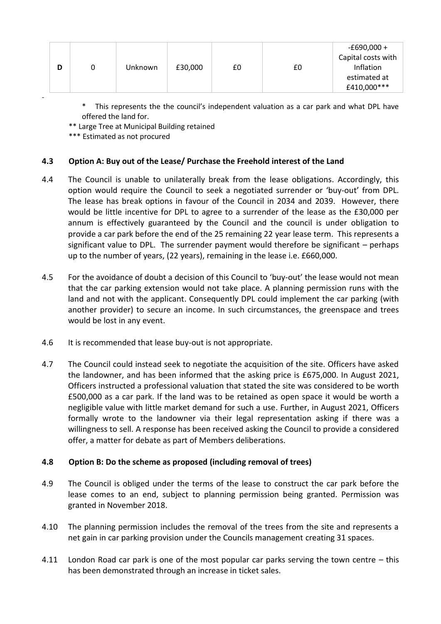| -£690,000 +<br>Capital costs with<br>Inflation<br>£30,000<br>£0<br>Unknown<br>£0<br>U<br>estimated at |
|-------------------------------------------------------------------------------------------------------|
|-------------------------------------------------------------------------------------------------------|

This represents the the council's independent valuation as a car park and what DPL have offered the land for.

\*\* Large Tree at Municipal Building retained

\*\*\* Estimated as not procured

# **4.3 Option A: Buy out of the Lease/ Purchase the Freehold interest of the Land**

- 4.4 The Council is unable to unilaterally break from the lease obligations. Accordingly, this option would require the Council to seek a negotiated surrender or 'buy-out' from DPL. The lease has break options in favour of the Council in 2034 and 2039. However, there would be little incentive for DPL to agree to a surrender of the lease as the £30,000 per annum is effectively guaranteed by the Council and the council is under obligation to provide a car park before the end of the 25 remaining 22 year lease term. This represents a significant value to DPL. The surrender payment would therefore be significant – perhaps up to the number of years, (22 years), remaining in the lease i.e. £660,000.
- 4.5 For the avoidance of doubt a decision of this Council to 'buy-out' the lease would not mean that the car parking extension would not take place. A planning permission runs with the land and not with the applicant. Consequently DPL could implement the car parking (with another provider) to secure an income. In such circumstances, the greenspace and trees would be lost in any event.
- 4.6 It is recommended that lease buy-out is not appropriate.
- 4.7 The Council could instead seek to negotiate the acquisition of the site. Officers have asked the landowner, and has been informed that the asking price is £675,000. In August 2021, Officers instructed a professional valuation that stated the site was considered to be worth £500,000 as a car park. If the land was to be retained as open space it would be worth a negligible value with little market demand for such a use. Further, in August 2021, Officers formally wrote to the landowner via their legal representation asking if there was a willingness to sell. A response has been received asking the Council to provide a considered offer, a matter for debate as part of Members deliberations.

# **4.8 Option B: Do the scheme as proposed (including removal of trees)**

- 4.9 The Council is obliged under the terms of the lease to construct the car park before the lease comes to an end, subject to planning permission being granted. Permission was granted in November 2018.
- 4.10 The planning permission includes the removal of the trees from the site and represents a net gain in car parking provision under the Councils management creating 31 spaces.
- 4.11 London Road car park is one of the most popular car parks serving the town centre this has been demonstrated through an increase in ticket sales.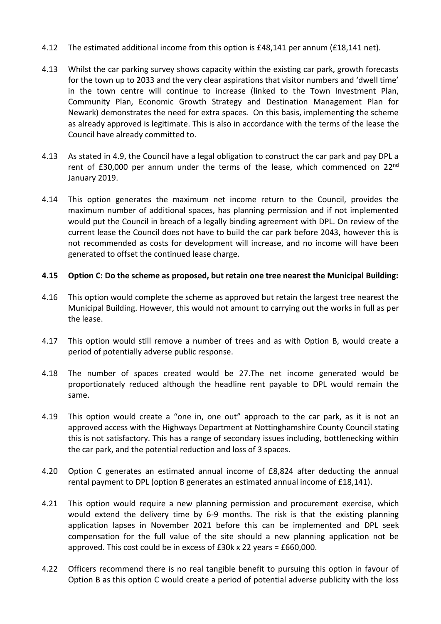- 4.12 The estimated additional income from this option is £48,141 per annum (£18,141 net).
- 4.13 Whilst the car parking survey shows capacity within the existing car park, growth forecasts for the town up to 2033 and the very clear aspirations that visitor numbers and 'dwell time' in the town centre will continue to increase (linked to the Town Investment Plan, Community Plan, Economic Growth Strategy and Destination Management Plan for Newark) demonstrates the need for extra spaces. On this basis, implementing the scheme as already approved is legitimate. This is also in accordance with the terms of the lease the Council have already committed to.
- 4.13 As stated in 4.9, the Council have a legal obligation to construct the car park and pay DPL a rent of £30,000 per annum under the terms of the lease, which commenced on  $22^{nd}$ January 2019.
- 4.14 This option generates the maximum net income return to the Council, provides the maximum number of additional spaces, has planning permission and if not implemented would put the Council in breach of a legally binding agreement with DPL. On review of the current lease the Council does not have to build the car park before 2043, however this is not recommended as costs for development will increase, and no income will have been generated to offset the continued lease charge.

## **4.15 Option C: Do the scheme as proposed, but retain one tree nearest the Municipal Building:**

- 4.16 This option would complete the scheme as approved but retain the largest tree nearest the Municipal Building. However, this would not amount to carrying out the works in full as per the lease.
- 4.17 This option would still remove a number of trees and as with Option B, would create a period of potentially adverse public response.
- 4.18 The number of spaces created would be 27.The net income generated would be proportionately reduced although the headline rent payable to DPL would remain the same.
- 4.19 This option would create a "one in, one out" approach to the car park, as it is not an approved access with the Highways Department at Nottinghamshire County Council stating this is not satisfactory. This has a range of secondary issues including, bottlenecking within the car park, and the potential reduction and loss of 3 spaces.
- 4.20 Option C generates an estimated annual income of £8,824 after deducting the annual rental payment to DPL (option B generates an estimated annual income of £18,141).
- 4.21 This option would require a new planning permission and procurement exercise, which would extend the delivery time by 6-9 months. The risk is that the existing planning application lapses in November 2021 before this can be implemented and DPL seek compensation for the full value of the site should a new planning application not be approved. This cost could be in excess of £30k x 22 years = £660,000.
- 4.22 Officers recommend there is no real tangible benefit to pursuing this option in favour of Option B as this option C would create a period of potential adverse publicity with the loss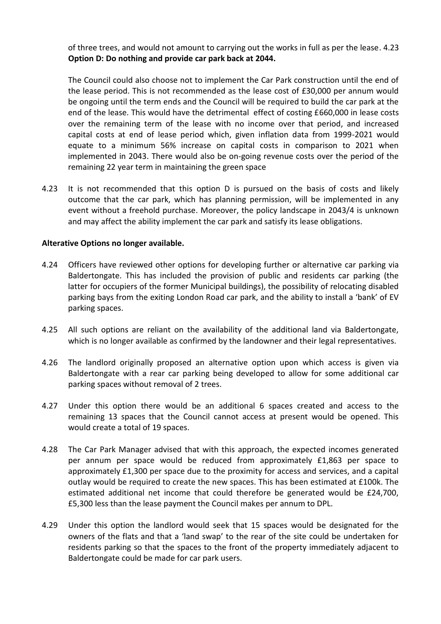of three trees, and would not amount to carrying out the works in full as per the lease. 4.23 **Option D: Do nothing and provide car park back at 2044.**

The Council could also choose not to implement the Car Park construction until the end of the lease period. This is not recommended as the lease cost of £30,000 per annum would be ongoing until the term ends and the Council will be required to build the car park at the end of the lease. This would have the detrimental effect of costing £660,000 in lease costs over the remaining term of the lease with no income over that period, and increased capital costs at end of lease period which, given inflation data from 1999-2021 would equate to a minimum 56% increase on capital costs in comparison to 2021 when implemented in 2043. There would also be on-going revenue costs over the period of the remaining 22 year term in maintaining the green space

4.23 It is not recommended that this option D is pursued on the basis of costs and likely outcome that the car park, which has planning permission, will be implemented in any event without a freehold purchase. Moreover, the policy landscape in 2043/4 is unknown and may affect the ability implement the car park and satisfy its lease obligations.

#### **Alterative Options no longer available.**

- 4.24 Officers have reviewed other options for developing further or alternative car parking via Baldertongate. This has included the provision of public and residents car parking (the latter for occupiers of the former Municipal buildings), the possibility of relocating disabled parking bays from the exiting London Road car park, and the ability to install a 'bank' of EV parking spaces.
- 4.25 All such options are reliant on the availability of the additional land via Baldertongate, which is no longer available as confirmed by the landowner and their legal representatives.
- 4.26 The landlord originally proposed an alternative option upon which access is given via Baldertongate with a rear car parking being developed to allow for some additional car parking spaces without removal of 2 trees.
- 4.27 Under this option there would be an additional 6 spaces created and access to the remaining 13 spaces that the Council cannot access at present would be opened. This would create a total of 19 spaces.
- 4.28 The Car Park Manager advised that with this approach, the expected incomes generated per annum per space would be reduced from approximately £1,863 per space to approximately £1,300 per space due to the proximity for access and services, and a capital outlay would be required to create the new spaces. This has been estimated at £100k. The estimated additional net income that could therefore be generated would be £24,700, £5,300 less than the lease payment the Council makes per annum to DPL.
- 4.29 Under this option the landlord would seek that 15 spaces would be designated for the owners of the flats and that a 'land swap' to the rear of the site could be undertaken for residents parking so that the spaces to the front of the property immediately adjacent to Baldertongate could be made for car park users.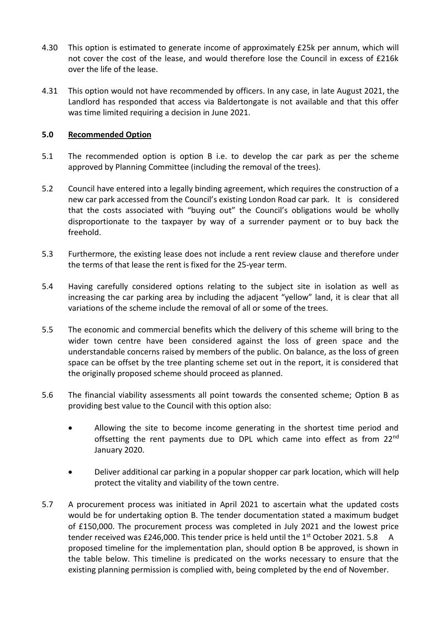- 4.30 This option is estimated to generate income of approximately £25k per annum, which will not cover the cost of the lease, and would therefore lose the Council in excess of £216k over the life of the lease.
- 4.31 This option would not have recommended by officers. In any case, in late August 2021, the Landlord has responded that access via Baldertongate is not available and that this offer was time limited requiring a decision in June 2021.

## **5.0 Recommended Option**

- 5.1 The recommended option is option B i.e. to develop the car park as per the scheme approved by Planning Committee (including the removal of the trees).
- 5.2 Council have entered into a legally binding agreement, which requires the construction of a new car park accessed from the Council's existing London Road car park. It is considered that the costs associated with "buying out" the Council's obligations would be wholly disproportionate to the taxpayer by way of a surrender payment or to buy back the freehold.
- 5.3 Furthermore, the existing lease does not include a rent review clause and therefore under the terms of that lease the rent is fixed for the 25-year term.
- 5.4 Having carefully considered options relating to the subject site in isolation as well as increasing the car parking area by including the adjacent "yellow" land, it is clear that all variations of the scheme include the removal of all or some of the trees.
- 5.5 The economic and commercial benefits which the delivery of this scheme will bring to the wider town centre have been considered against the loss of green space and the understandable concerns raised by members of the public. On balance, as the loss of green space can be offset by the tree planting scheme set out in the report, it is considered that the originally proposed scheme should proceed as planned.
- 5.6 The financial viability assessments all point towards the consented scheme; Option B as providing best value to the Council with this option also:
	- Allowing the site to become income generating in the shortest time period and offsetting the rent payments due to DPL which came into effect as from 22<sup>nd</sup> January 2020.
	- Deliver additional car parking in a popular shopper car park location, which will help protect the vitality and viability of the town centre.
- 5.7 A procurement process was initiated in April 2021 to ascertain what the updated costs would be for undertaking option B. The tender documentation stated a maximum budget of £150,000. The procurement process was completed in July 2021 and the lowest price tender received was £246,000. This tender price is held until the  $1<sup>st</sup>$  October 2021. 5.8 A proposed timeline for the implementation plan, should option B be approved, is shown in the table below. This timeline is predicated on the works necessary to ensure that the existing planning permission is complied with, being completed by the end of November.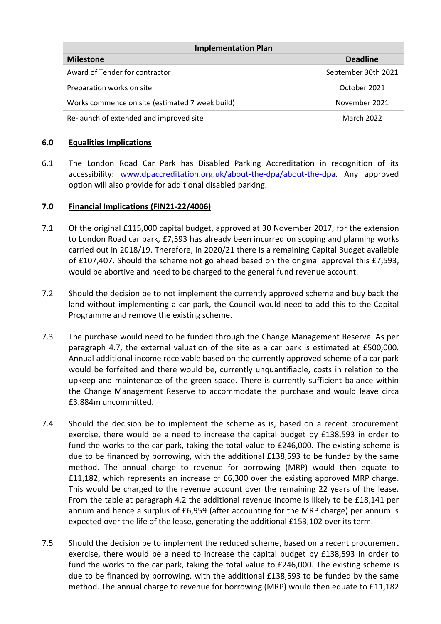| <b>Implementation Plan</b>                      |                     |  |  |  |
|-------------------------------------------------|---------------------|--|--|--|
| <b>Milestone</b>                                | <b>Deadline</b>     |  |  |  |
| Award of Tender for contractor                  | September 30th 2021 |  |  |  |
| Preparation works on site                       | October 2021        |  |  |  |
| Works commence on site (estimated 7 week build) | November 2021       |  |  |  |
| Re-launch of extended and improved site         | March 2022          |  |  |  |

## **6.0 Equalities Implications**

6.1 The London Road Car Park has Disabled Parking Accreditation in recognition of its accessibility: [www.dpaccreditation.org.uk/about-the-dpa/about-the-dpa.](http://www.dpaccreditation.org.uk/about-the-dpa/about-the-dpa) Any approved option will also provide for additional disabled parking.

## **7.0 Financial Implications (FIN21-22/4006)**

- 7.1 Of the original £115,000 capital budget, approved at 30 November 2017, for the extension to London Road car park, £7,593 has already been incurred on scoping and planning works carried out in 2018/19. Therefore, in 2020/21 there is a remaining Capital Budget available of £107,407. Should the scheme not go ahead based on the original approval this £7,593, would be abortive and need to be charged to the general fund revenue account.
- 7.2 Should the decision be to not implement the currently approved scheme and buy back the land without implementing a car park, the Council would need to add this to the Capital Programme and remove the existing scheme.
- 7.3 The purchase would need to be funded through the Change Management Reserve. As per paragraph 4.7, the external valuation of the site as a car park is estimated at £500,000. Annual additional income receivable based on the currently approved scheme of a car park would be forfeited and there would be, currently unquantifiable, costs in relation to the upkeep and maintenance of the green space. There is currently sufficient balance within the Change Management Reserve to accommodate the purchase and would leave circa £3.884m uncommitted.
- 7.4 Should the decision be to implement the scheme as is, based on a recent procurement exercise, there would be a need to increase the capital budget by £138,593 in order to fund the works to the car park, taking the total value to £246,000. The existing scheme is due to be financed by borrowing, with the additional £138,593 to be funded by the same method. The annual charge to revenue for borrowing (MRP) would then equate to £11,182, which represents an increase of £6,300 over the existing approved MRP charge. This would be charged to the revenue account over the remaining 22 years of the lease. From the table at paragraph 4.2 the additional revenue income is likely to be £18,141 per annum and hence a surplus of £6,959 (after accounting for the MRP charge) per annum is expected over the life of the lease, generating the additional £153,102 over its term.
- 7.5 Should the decision be to implement the reduced scheme, based on a recent procurement exercise, there would be a need to increase the capital budget by £138,593 in order to fund the works to the car park, taking the total value to £246,000. The existing scheme is due to be financed by borrowing, with the additional £138,593 to be funded by the same method. The annual charge to revenue for borrowing (MRP) would then equate to £11,182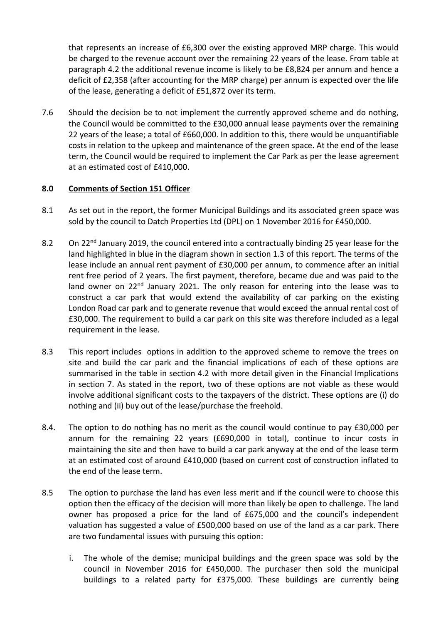that represents an increase of £6,300 over the existing approved MRP charge. This would be charged to the revenue account over the remaining 22 years of the lease. From table at paragraph 4.2 the additional revenue income is likely to be £8,824 per annum and hence a deficit of £2,358 (after accounting for the MRP charge) per annum is expected over the life of the lease, generating a deficit of £51,872 over its term.

7.6 Should the decision be to not implement the currently approved scheme and do nothing, the Council would be committed to the £30,000 annual lease payments over the remaining 22 years of the lease; a total of £660,000. In addition to this, there would be unquantifiable costs in relation to the upkeep and maintenance of the green space. At the end of the lease term, the Council would be required to implement the Car Park as per the lease agreement at an estimated cost of £410,000.

# **8.0 Comments of Section 151 Officer**

- 8.1 As set out in the report, the former Municipal Buildings and its associated green space was sold by the council to Datch Properties Ltd (DPL) on 1 November 2016 for £450,000.
- 8.2 On 22<sup>nd</sup> January 2019, the council entered into a contractually binding 25 year lease for the land highlighted in blue in the diagram shown in section 1.3 of this report. The terms of the lease include an annual rent payment of £30,000 per annum, to commence after an initial rent free period of 2 years. The first payment, therefore, became due and was paid to the land owner on 22<sup>nd</sup> January 2021. The only reason for entering into the lease was to construct a car park that would extend the availability of car parking on the existing London Road car park and to generate revenue that would exceed the annual rental cost of £30,000. The requirement to build a car park on this site was therefore included as a legal requirement in the lease.
- 8.3 This report includes options in addition to the approved scheme to remove the trees on site and build the car park and the financial implications of each of these options are summarised in the table in section 4.2 with more detail given in the Financial Implications in section 7. As stated in the report, two of these options are not viable as these would involve additional significant costs to the taxpayers of the district. These options are (i) do nothing and (ii) buy out of the lease/purchase the freehold.
- 8.4. The option to do nothing has no merit as the council would continue to pay £30,000 per annum for the remaining 22 years (£690,000 in total), continue to incur costs in maintaining the site and then have to build a car park anyway at the end of the lease term at an estimated cost of around £410,000 (based on current cost of construction inflated to the end of the lease term.
- 8.5 The option to purchase the land has even less merit and if the council were to choose this option then the efficacy of the decision will more than likely be open to challenge. The land owner has proposed a price for the land of £675,000 and the council's independent valuation has suggested a value of £500,000 based on use of the land as a car park. There are two fundamental issues with pursuing this option:
	- i. The whole of the demise; municipal buildings and the green space was sold by the council in November 2016 for £450,000. The purchaser then sold the municipal buildings to a related party for £375,000. These buildings are currently being